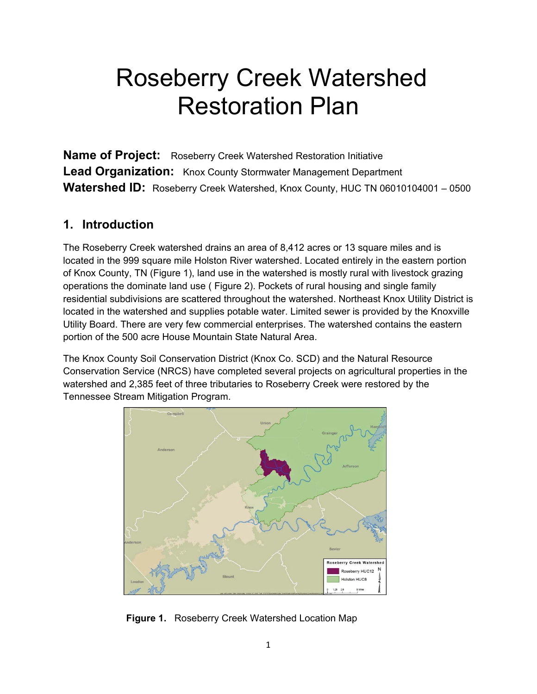# Roseberry Creek Watershed Restoration Plan

**Name of Project:** Roseberry Creek Watershed Restoration Initiative **Lead Organization:** Knox County Stormwater Management Department Watershed ID: Roseberry Creek Watershed, Knox County, HUC TN 06010104001 - 0500

#### **1. Introduction**

The Roseberry Creek watershed drains an area of 8,412 acres or 13 square miles and is located in the 999 square mile Holston River watershed. Located entirely in the eastern portion of Knox County, TN (Figure 1), land use in the watershed is mostly rural with livestock grazing operations the dominate land use ( Figure 2). Pockets of rural housing and single family residential subdivisions are scattered throughout the watershed. Northeast Knox Utility District is located in the watershed and supplies potable water. Limited sewer is provided by the Knoxville Utility Board. There are very few commercial enterprises. The watershed contains the eastern portion of the 500 acre House Mountain State Natural Area.

The Knox County Soil Conservation District (Knox Co. SCD) and the Natural Resource Conservation Service (NRCS) have completed several projects on agricultural properties in the watershed and 2,385 feet of three tributaries to Roseberry Creek were restored by the Tennessee Stream Mitigation Program.



**Figure 1.** Roseberry Creek Watershed Location Map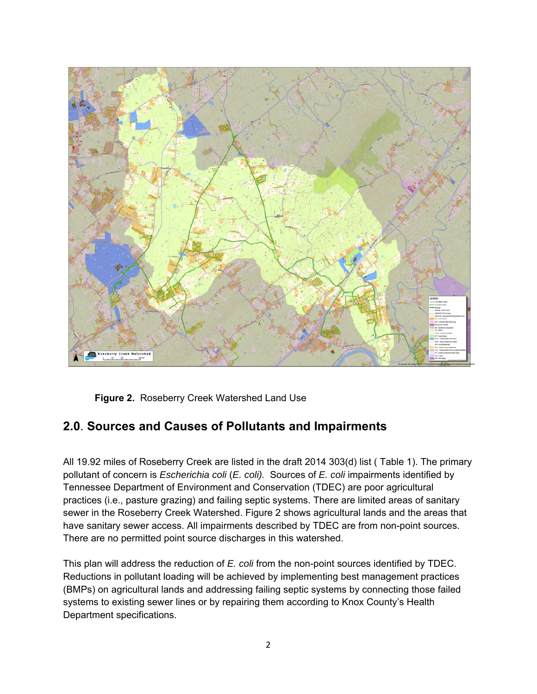

**Figure 2.** Roseberry Creek Watershed Land Use

## **2.0**. **Sources and Causes of Pollutants and Impairments**

All 19.92 miles of Roseberry Creek are listed in the draft 2014 303(d) list ( Table 1). The primary pollutant of concern is *Escherichia coli* (*E. coli).* Sources of *E. coli* impairments identified by Tennessee Department of Environment and Conservation (TDEC) are poor agricultural practices (i.e., pasture grazing) and failing septic systems. There are limited areas of sanitary sewer in the Roseberry Creek Watershed. Figure 2 shows agricultural lands and the areas that have sanitary sewer access. All impairments described by TDEC are from non-point sources. There are no permitted point source discharges in this watershed.

This plan will address the reduction of *E. coli* from the non-point sources identified by TDEC. Reductions in pollutant loading will be achieved by implementing best management practices (BMPs) on agricultural lands and addressing failing septic systems by connecting those failed systems to existing sewer lines or by repairing them according to Knox County's Health Department specifications.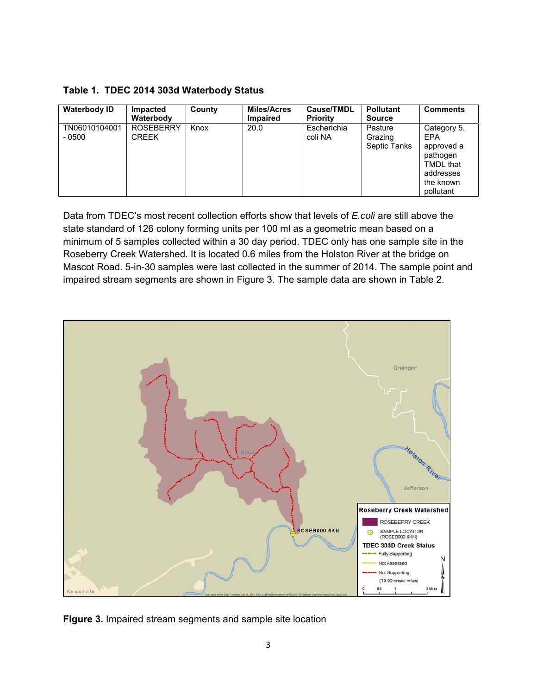| Table 1. TDEC 2014 303d Waterbody Status |  |  |  |  |
|------------------------------------------|--|--|--|--|
|------------------------------------------|--|--|--|--|

| <b>Waterbody ID</b>      | Impacted<br>Waterbody            | County | <b>Miles/Acres</b><br><b>Impaired</b> | Cause/TMDL<br><b>Priority</b> | <b>Pollutant</b><br><b>Source</b>  | <b>Comments</b>                                                                                         |
|--------------------------|----------------------------------|--------|---------------------------------------|-------------------------------|------------------------------------|---------------------------------------------------------------------------------------------------------|
| TN06010104001<br>$-0500$ | <b>ROSEBERRY</b><br><b>CREEK</b> | Knox   | 20.0                                  | Escherichia<br>coli NA        | Pasture<br>Grazing<br>Septic Tanks | Category 5.<br><b>EPA</b><br>approved a<br>pathogen<br>TMDL that<br>addresses<br>the known<br>pollutant |

Data from TDEC's most recent collection efforts show that levels of *E.coli* are still above the state standard of 126 colony forming units per 100 ml as a geometric mean based on a minimum of 5 samples collected within a 30 day period. TDEC only has one sample site in the Roseberry Creek Watershed. It is located 0.6 miles from the Holston River at the bridge on Mascot Road. 5-in-30 samples were last collected in the summer of 2014. The sample point and impaired stream segments are shown in Figure 3. The sample data are shown in Table 2.



**Figure 3.** Impaired stream segments and sample site location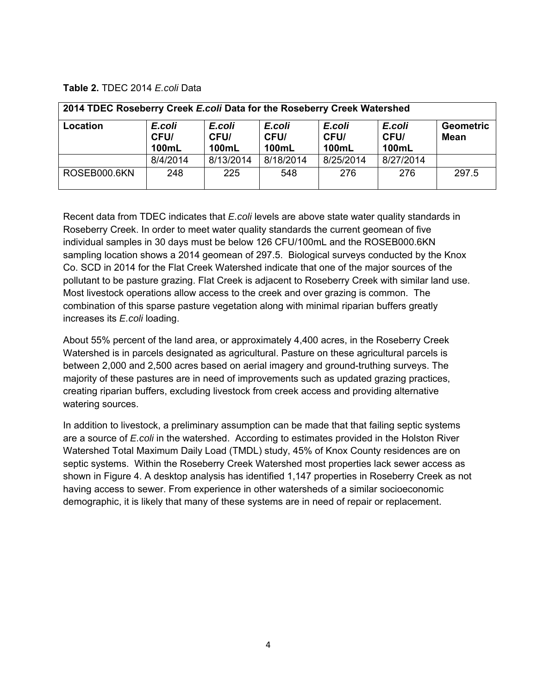#### **Table 2.** TDEC 2014 *E.coli* Data

| 2014 TDEC Roseberry Creek E.coli Data for the Roseberry Creek Watershed |                                                                                             |           |           |                         |                                |                                 |  |  |  |  |
|-------------------------------------------------------------------------|---------------------------------------------------------------------------------------------|-----------|-----------|-------------------------|--------------------------------|---------------------------------|--|--|--|--|
| Location                                                                | E.coli<br>E.coli<br>E.coli<br>CFU/<br>CFU/<br>CFU/<br><b>100mL</b><br>100mL<br><b>100mL</b> |           |           | E.coli<br>CFU/<br>100mL | E.coli<br>CFU/<br><b>100mL</b> | <b>Geometric</b><br><b>Mean</b> |  |  |  |  |
|                                                                         | 8/4/2014                                                                                    | 8/13/2014 | 8/18/2014 | 8/25/2014               | 8/27/2014                      |                                 |  |  |  |  |
| ROSEB000.6KN                                                            | 248                                                                                         | 225       | 548       | 276                     | 276                            | 297.5                           |  |  |  |  |

Recent data from TDEC indicates that *E.coli* levels are above state water quality standards in Roseberry Creek. In order to meet water quality standards the current geomean of five individual samples in 30 days must be below 126 CFU/100mL and the ROSEB000.6KN sampling location shows a 2014 geomean of 297.5. Biological surveys conducted by the Knox Co. SCD in 2014 for the Flat Creek Watershed indicate that one of the major sources of the pollutant to be pasture grazing. Flat Creek is adjacent to Roseberry Creek with similar land use. Most livestock operations allow access to the creek and over grazing is common. The combination of this sparse pasture vegetation along with minimal riparian buffers greatly increases its *E.coli* loading.

About 55% percent of the land area, or approximately 4,400 acres, in the Roseberry Creek Watershed is in parcels designated as agricultural. Pasture on these agricultural parcels is between 2,000 and 2,500 acres based on aerial imagery and ground-truthing surveys. The majority of these pastures are in need of improvements such as updated grazing practices, creating riparian buffers, excluding livestock from creek access and providing alternative watering sources.

In addition to livestock, a preliminary assumption can be made that that failing septic systems are a source of *E.coli* in the watershed. According to estimates provided in the Holston River Watershed Total Maximum Daily Load (TMDL) study, 45% of Knox County residences are on septic systems. Within the Roseberry Creek Watershed most properties lack sewer access as shown in Figure 4. A desktop analysis has identified 1,147 properties in Roseberry Creek as not having access to sewer. From experience in other watersheds of a similar socioeconomic demographic, it is likely that many of these systems are in need of repair or replacement.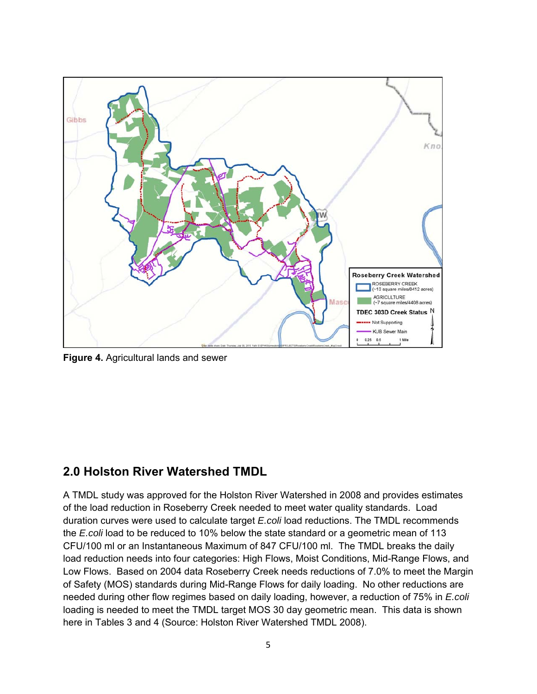

**Figure 4.** Agricultural lands and sewer

## **2.0 Holston River Watershed TMDL**

A TMDL study was approved for the Holston River Watershed in 2008 and provides estimates of the load reduction in Roseberry Creek needed to meet water quality standards. Load duration curves were used to calculate target *E.coli* load reductions. The TMDL recommends the *E.coli* load to be reduced to 10% below the state standard or a geometric mean of 113 CFU/100 ml or an Instantaneous Maximum of 847 CFU/100 ml. The TMDL breaks the daily load reduction needs into four categories: High Flows, Moist Conditions, Mid-Range Flows, and Low Flows. Based on 2004 data Roseberry Creek needs reductions of 7.0% to meet the Margin of Safety (MOS) standards during Mid-Range Flows for daily loading. No other reductions are needed during other flow regimes based on daily loading, however, a reduction of 75% in *E.coli* loading is needed to meet the TMDL target MOS 30 day geometric mean. This data is shown here in Tables 3 and 4 (Source: Holston River Watershed TMDL 2008).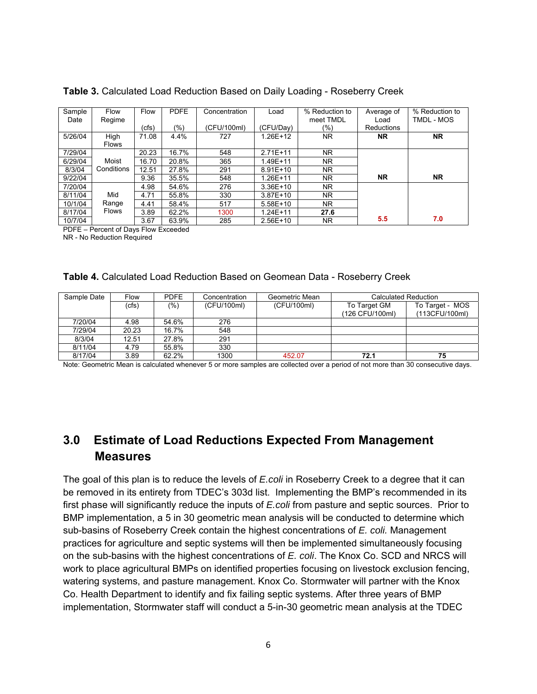| Sample  | Flow         | Flow  | <b>PDFE</b> | Concentration | Load         | % Reduction to | Average of | % Reduction to |
|---------|--------------|-------|-------------|---------------|--------------|----------------|------------|----------------|
| Date    | Regime       |       |             |               |              | meet TMDL      | Load       | TMDL - MOS     |
|         |              | (cfs) | (%)         | (CFU/100ml)   | (CFU/Day)    | (%)            | Reductions |                |
| 5/26/04 | High         | 71.08 | 4.4%        | 727           | 1.26E+12     | <b>NR</b>      | <b>NR</b>  | <b>NR</b>      |
|         | <b>Flows</b> |       |             |               |              |                |            |                |
| 7/29/04 |              | 20.23 | 16.7%       | 548           | $2.71E+11$   | NR.            |            |                |
| 6/29/04 | Moist        | 16.70 | 20.8%       | 365           | 1.49E+11     | <b>NR</b>      |            |                |
| 8/3/04  | Conditions   | 12.51 | 27.8%       | 291           | $8.91E+10$   | NR.            |            |                |
| 9/22/04 |              | 9.36  | 35.5%       | 548           | 1.26E+11     | NR.            | <b>NR</b>  | <b>NR</b>      |
| 7/20/04 |              | 4.98  | 54.6%       | 276           | $3.36E+10$   | NR.            |            |                |
| 8/11/04 | Mid          | 4.71  | 55.8%       | 330           | $3.87E+10$   | <b>NR</b>      |            |                |
| 10/1/04 | Range        | 4.41  | 58.4%       | 517           | $5.58E+10$   | NR.            |            |                |
| 8/17/04 | <b>Flows</b> | 3.89  | 62.2%       | 1300          | $1.24E + 11$ | 27.6           |            |                |
| 10/7/04 |              | 3.67  | 63.9%       | 285           | $2.56E+10$   | NR.            | 5.5        | 7.0            |

**Table 3.** Calculated Load Reduction Based on Daily Loading - Roseberry Creek

PDFE – Percent of Days Flow Exceeded

NR - No Reduction Required

|  |  |  |  |  | <b>Table 4. Calculated Load Reduction Based on Geomean Data - Roseberry Creek</b> |
|--|--|--|--|--|-----------------------------------------------------------------------------------|
|--|--|--|--|--|-----------------------------------------------------------------------------------|

| Sample Date | Flow  | <b>PDFE</b> | Concentration | Geometric Mean | Calculated Reduction |                 |
|-------------|-------|-------------|---------------|----------------|----------------------|-----------------|
|             | (cfs) | (%)         | (CFU/100ml)   | (CFU/100ml)    | To Target GM         | To Target - MOS |
|             |       |             |               |                | (126 CFU/100ml)      | (113CFU/100ml)  |
| 7/20/04     | 4.98  | 54.6%       | 276           |                |                      |                 |
| 7/29/04     | 20.23 | 16.7%       | 548           |                |                      |                 |
| 8/3/04      | 12.51 | 27.8%       | 291           |                |                      |                 |
| 8/11/04     | 4.79  | 55.8%       | 330           |                |                      |                 |
| 8/17/04     | 3.89  | 62.2%       | 1300          | 452.07         | 72.1                 | 75              |

Note: Geometric Mean is calculated whenever 5 or more samples are collected over a period of not more than 30 consecutive days.

## **3.0 Estimate of Load Reductions Expected From Management Measures**

The goal of this plan is to reduce the levels of *E.coli* in Roseberry Creek to a degree that it can be removed in its entirety from TDEC's 303d list. Implementing the BMP's recommended in its first phase will significantly reduce the inputs of *E.coli* from pasture and septic sources. Prior to BMP implementation, a 5 in 30 geometric mean analysis will be conducted to determine which sub-basins of Roseberry Creek contain the highest concentrations of *E. coli.* Management practices for agriculture and septic systems will then be implemented simultaneously focusing on the sub-basins with the highest concentrations of *E. coli*. The Knox Co. SCD and NRCS will work to place agricultural BMPs on identified properties focusing on livestock exclusion fencing, watering systems, and pasture management. Knox Co. Stormwater will partner with the Knox Co. Health Department to identify and fix failing septic systems. After three years of BMP implementation, Stormwater staff will conduct a 5-in-30 geometric mean analysis at the TDEC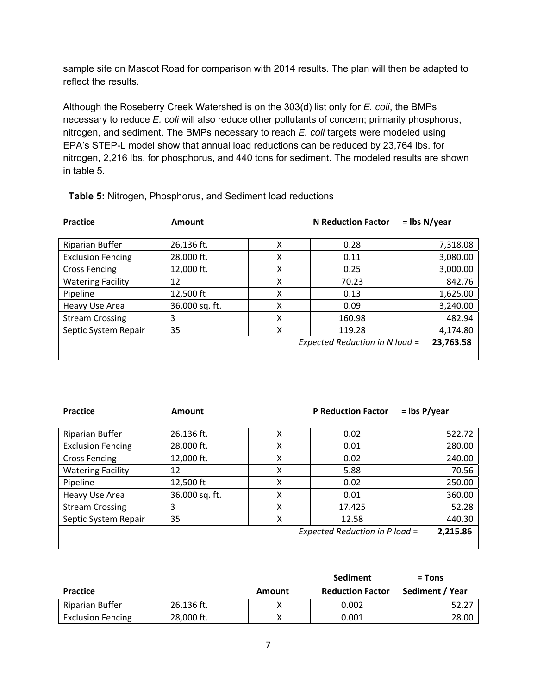sample site on Mascot Road for comparison with 2014 results. The plan will then be adapted to reflect the results.

Although the Roseberry Creek Watershed is on the 303(d) list only for *E. coli*, the BMPs necessary to reduce *E. coli* will also reduce other pollutants of concern; primarily phosphorus, nitrogen, and sediment. The BMPs necessary to reach *E. coli* targets were modeled using EPA's STEP-L model show that annual load reductions can be reduced by 23,764 lbs. for nitrogen, 2,216 lbs. for phosphorus, and 440 tons for sediment. The modeled results are shown in table 5.

| Practice                 | Amount         |   | <b>N</b> Reduction Factor      | $=$ lbs N/year |
|--------------------------|----------------|---|--------------------------------|----------------|
|                          |                |   |                                |                |
| Riparian Buffer          | 26,136 ft.     | χ | 0.28                           | 7,318.08       |
| <b>Exclusion Fencing</b> | 28,000 ft.     | χ | 0.11                           | 3,080.00       |
| <b>Cross Fencing</b>     | 12,000 ft.     | x | 0.25                           | 3,000.00       |
| <b>Watering Facility</b> | 12             | x | 70.23                          | 842.76         |
| Pipeline                 | 12,500 ft      | χ | 0.13                           | 1,625.00       |
| Heavy Use Area           | 36,000 sq. ft. | χ | 0.09                           | 3,240.00       |
| <b>Stream Crossing</b>   | 3              | χ | 160.98                         | 482.94         |
| Septic System Repair     | 35             | X | 119.28                         | 4,174.80       |
|                          |                |   | Expected Reduction in N load = | 23,763.58      |
|                          |                |   |                                |                |

**Table 5:** Nitrogen, Phosphorus, and Sediment load reductions

Practice *Amount* Amount  **Example 20** P Reduction Factor *n* = lbs P/year

| <b>Riparian Buffer</b>   | 26,136 ft.     |   | 0.02                           | 522.72   |
|--------------------------|----------------|---|--------------------------------|----------|
| <b>Exclusion Fencing</b> | 28,000 ft.     |   | 0.01                           | 280.00   |
| <b>Cross Fencing</b>     | 12,000 ft.     | χ | 0.02                           | 240.00   |
| <b>Watering Facility</b> | 12             | χ | 5.88                           | 70.56    |
| Pipeline                 | 12,500 ft      |   | 0.02                           | 250.00   |
| Heavy Use Area           | 36,000 sq. ft. |   | 0.01                           | 360.00   |
| <b>Stream Crossing</b>   | 3              |   | 17.425                         | 52.28    |
| Septic System Repair     | 35             |   | 12.58                          | 440.30   |
|                          |                |   | Expected Reduction in P load = | 2,215.86 |
|                          |                |   |                                |          |

|                          |            |        | <b>Sediment</b>         | $=$ Tons        |
|--------------------------|------------|--------|-------------------------|-----------------|
| <b>Practice</b>          |            | Amount | <b>Reduction Factor</b> | Sediment / Year |
| Riparian Buffer          | 26,136 ft. |        | 0.002                   | 52.27           |
| <b>Exclusion Fencing</b> | 28,000 ft. |        | 0.001                   | 28.00           |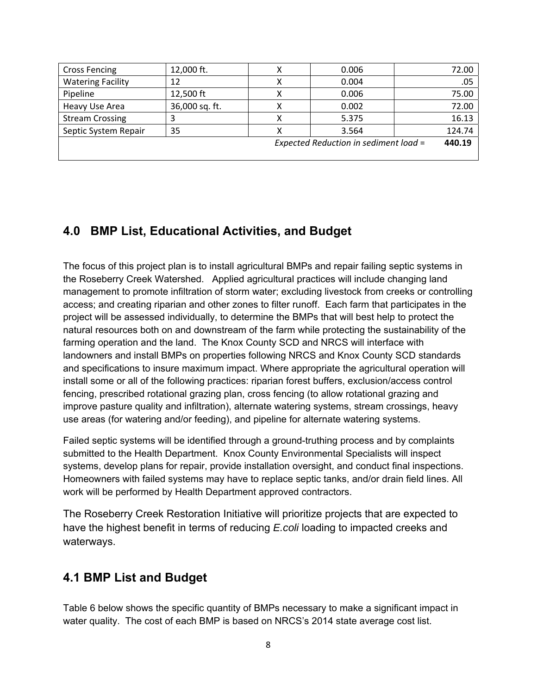| <b>Cross Fencing</b>                            | 12,000 ft.     |  | 0.006 | 72.00  |  |  |  |  |
|-------------------------------------------------|----------------|--|-------|--------|--|--|--|--|
| <b>Watering Facility</b>                        | 12             |  | 0.004 | .05    |  |  |  |  |
| Pipeline                                        | 12,500 ft      |  | 0.006 | 75.00  |  |  |  |  |
| Heavy Use Area                                  | 36,000 sq. ft. |  | 0.002 | 72.00  |  |  |  |  |
| <b>Stream Crossing</b>                          | 3              |  | 5.375 | 16.13  |  |  |  |  |
| Septic System Repair                            | 35             |  | 3.564 | 124.74 |  |  |  |  |
| 440.19<br>Expected Reduction in sediment load = |                |  |       |        |  |  |  |  |
|                                                 |                |  |       |        |  |  |  |  |

## **4.0 BMP List, Educational Activities, and Budget**

The focus of this project plan is to install agricultural BMPs and repair failing septic systems in the Roseberry Creek Watershed. Applied agricultural practices will include changing land management to promote infiltration of storm water; excluding livestock from creeks or controlling access; and creating riparian and other zones to filter runoff. Each farm that participates in the project will be assessed individually, to determine the BMPs that will best help to protect the natural resources both on and downstream of the farm while protecting the sustainability of the farming operation and the land. The Knox County SCD and NRCS will interface with landowners and install BMPs on properties following NRCS and Knox County SCD standards and specifications to insure maximum impact. Where appropriate the agricultural operation will install some or all of the following practices: riparian forest buffers, exclusion/access control fencing, prescribed rotational grazing plan, cross fencing (to allow rotational grazing and improve pasture quality and infiltration), alternate watering systems, stream crossings, heavy use areas (for watering and/or feeding), and pipeline for alternate watering systems.

Failed septic systems will be identified through a ground-truthing process and by complaints submitted to the Health Department. Knox County Environmental Specialists will inspect systems, develop plans for repair, provide installation oversight, and conduct final inspections. Homeowners with failed systems may have to replace septic tanks, and/or drain field lines. All work will be performed by Health Department approved contractors.

The Roseberry Creek Restoration Initiative will prioritize projects that are expected to have the highest benefit in terms of reducing *E.coli* loading to impacted creeks and waterways.

## **4.1 BMP List and Budget**

Table 6 below shows the specific quantity of BMPs necessary to make a significant impact in water quality. The cost of each BMP is based on NRCS's 2014 state average cost list.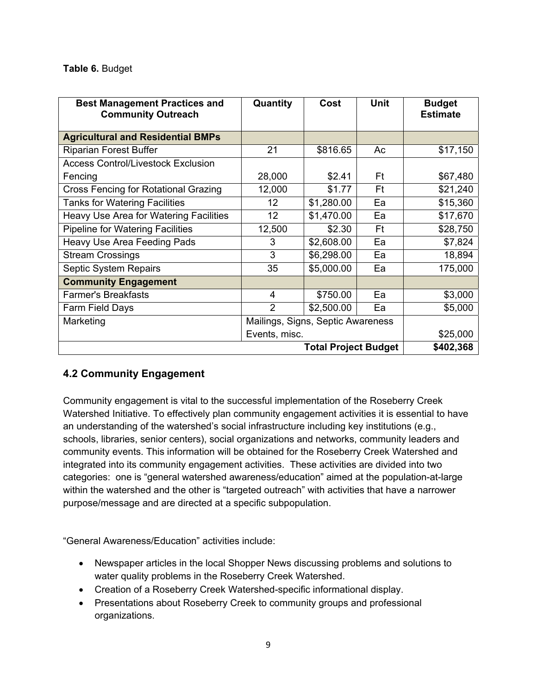#### **Table 6.** Budget

| <b>Best Management Practices and</b><br><b>Community Outreach</b> | Quantity                          | Cost                        | <b>Unit</b> | <b>Budget</b><br><b>Estimate</b> |  |  |  |
|-------------------------------------------------------------------|-----------------------------------|-----------------------------|-------------|----------------------------------|--|--|--|
| <b>Agricultural and Residential BMPs</b>                          |                                   |                             |             |                                  |  |  |  |
| <b>Riparian Forest Buffer</b>                                     | 21                                | \$816.65                    | Ac          | \$17,150                         |  |  |  |
| <b>Access Control/Livestock Exclusion</b>                         |                                   |                             |             |                                  |  |  |  |
| Fencing                                                           | 28,000                            | \$2.41                      | Ft          | \$67,480                         |  |  |  |
| <b>Cross Fencing for Rotational Grazing</b>                       | 12,000                            | \$1.77                      | Ft          | \$21,240                         |  |  |  |
| <b>Tanks for Watering Facilities</b>                              | 12 <sup>2</sup>                   | \$1,280.00                  | Ea          | \$15,360                         |  |  |  |
| Heavy Use Area for Watering Facilities                            | 12 <sub>2</sub>                   | \$1,470.00                  | Ea          | \$17,670                         |  |  |  |
| <b>Pipeline for Watering Facilities</b>                           | 12,500                            | \$2.30                      | Ft          | \$28,750                         |  |  |  |
| <b>Heavy Use Area Feeding Pads</b>                                | 3                                 | \$2,608.00                  | Ea          | \$7,824                          |  |  |  |
| <b>Stream Crossings</b>                                           | 3                                 | \$6,298.00                  | Ea          | 18,894                           |  |  |  |
| Septic System Repairs                                             | 35                                | \$5,000.00                  | Ea          | 175,000                          |  |  |  |
| <b>Community Engagement</b>                                       |                                   |                             |             |                                  |  |  |  |
| <b>Farmer's Breakfasts</b>                                        | 4                                 | \$750.00                    | Ea          | \$3,000                          |  |  |  |
| Farm Field Days                                                   | $\overline{2}$                    | \$2,500.00                  | Ea          | \$5,000                          |  |  |  |
| Marketing                                                         | Mailings, Signs, Septic Awareness |                             |             |                                  |  |  |  |
|                                                                   |                                   | Events, misc.               |             |                                  |  |  |  |
|                                                                   |                                   | <b>Total Project Budget</b> |             | \$402,368                        |  |  |  |

#### **4.2 Community Engagement**

Community engagement is vital to the successful implementation of the Roseberry Creek Watershed Initiative. To effectively plan community engagement activities it is essential to have an understanding of the watershed's social infrastructure including key institutions (e.g., schools, libraries, senior centers), social organizations and networks, community leaders and community events. This information will be obtained for the Roseberry Creek Watershed and integrated into its community engagement activities. These activities are divided into two categories: one is "general watershed awareness/education" aimed at the population-at-large within the watershed and the other is "targeted outreach" with activities that have a narrower purpose/message and are directed at a specific subpopulation.

"General Awareness/Education" activities include:

- Newspaper articles in the local Shopper News discussing problems and solutions to water quality problems in the Roseberry Creek Watershed.
- Creation of a Roseberry Creek Watershed-specific informational display.
- Presentations about Roseberry Creek to community groups and professional organizations.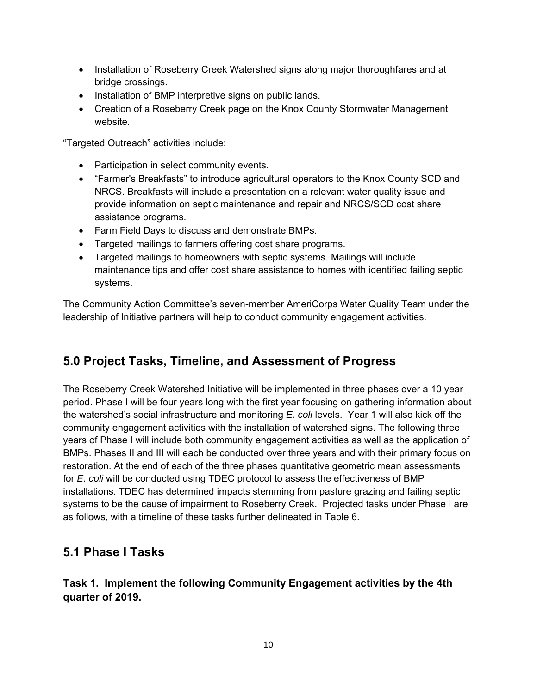- Installation of Roseberry Creek Watershed signs along major thoroughfares and at bridge crossings.
- Installation of BMP interpretive signs on public lands.
- Creation of a Roseberry Creek page on the Knox County Stormwater Management website.

"Targeted Outreach" activities include:

- Participation in select community events.
- "Farmer's Breakfasts" to introduce agricultural operators to the Knox County SCD and NRCS. Breakfasts will include a presentation on a relevant water quality issue and provide information on septic maintenance and repair and NRCS/SCD cost share assistance programs.
- Farm Field Days to discuss and demonstrate BMPs.
- Targeted mailings to farmers offering cost share programs.
- Targeted mailings to homeowners with septic systems. Mailings will include maintenance tips and offer cost share assistance to homes with identified failing septic systems.

The Community Action Committee's seven-member AmeriCorps Water Quality Team under the leadership of Initiative partners will help to conduct community engagement activities.

## **5.0 Project Tasks, Timeline, and Assessment of Progress**

The Roseberry Creek Watershed Initiative will be implemented in three phases over a 10 year period. Phase I will be four years long with the first year focusing on gathering information about the watershed's social infrastructure and monitoring *E. coli* levels. Year 1 will also kick off the community engagement activities with the installation of watershed signs. The following three years of Phase I will include both community engagement activities as well as the application of BMPs. Phases II and III will each be conducted over three years and with their primary focus on restoration. At the end of each of the three phases quantitative geometric mean assessments for *E. coli* will be conducted using TDEC protocol to assess the effectiveness of BMP installations. TDEC has determined impacts stemming from pasture grazing and failing septic systems to be the cause of impairment to Roseberry Creek. Projected tasks under Phase I are as follows, with a timeline of these tasks further delineated in Table 6.

## **5.1 Phase I Tasks**

#### **Task 1. Implement the following Community Engagement activities by the 4th quarter of 2019.**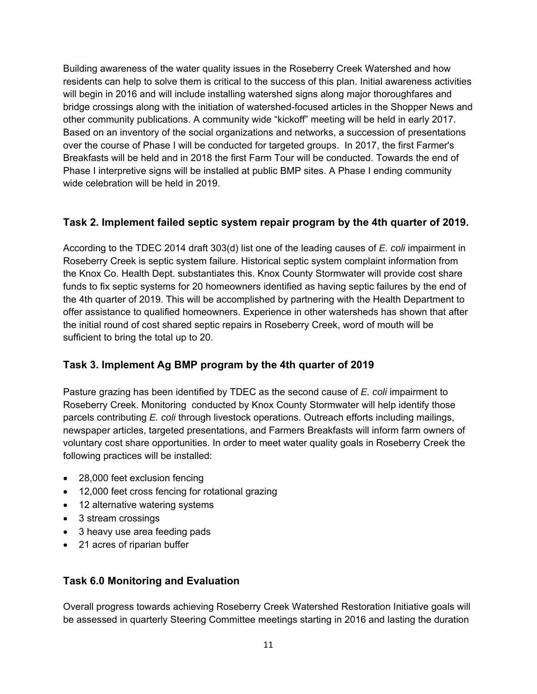Building awareness of the water quality issues in the Roseberry Creek Watershed and how residents can help to solve them is critical to the success of this plan. Initial awareness activities will begin in 2016 and will include installing watershed signs along major thoroughfares and bridge crossings along with the initiation of watershed-focused articles in the Shopper News and other community publications. A community wide "kickoff" meeting will be held in early 2017. Based on an inventory of the social organizations and networks, a succession of presentations over the course of Phase I will be conducted for targeted groups. In 2017, the first Farmer's Breakfasts will be held and in 2018 the first Farm Tour will be conducted. Towards the end of Phase I interpretive signs will be installed at public BMP sites. A Phase I ending community wide celebration will be held in 2019.

#### **Task 2. Implement failed septic system repair program by the 4th quarter of 2019.**

According to the TDEC 2014 draft 303(d) list one of the leading causes of *E. coli* impairment in Roseberry Creek is septic system failure. Historical septic system complaint information from the Knox Co. Health Dept. substantiates this. Knox County Stormwater will provide cost share funds to fix septic systems for 20 homeowners identified as having septic failures by the end of the 4th quarter of 2019. This will be accomplished by partnering with the Health Department to offer assistance to qualified homeowners. Experience in other watersheds has shown that after the initial round of cost shared septic repairs in Roseberry Creek, word of mouth will be sufficient to bring the total up to 20.

#### **Task 3. Implement Ag BMP program by the 4th quarter of 2019**

Pasture grazing has been identified by TDEC as the second cause of *E. coli* impairment to Roseberry Creek. Monitoring conducted by Knox County Stormwater will help identify those parcels contributing *E. coli* through livestock operations. Outreach efforts including mailings, newspaper articles, targeted presentations, and Farmers Breakfasts will inform farm owners of voluntary cost share opportunities. In order to meet water quality goals in Roseberry Creek the following practices will be installed:

- 28,000 feet exclusion fencing
- 12,000 feet cross fencing for rotational grazing
- 12 alternative watering systems
- 3 stream crossings
- 3 heavy use area feeding pads
- 21 acres of riparian buffer

#### **Task 6.0 Monitoring and Evaluation**

Overall progress towards achieving Roseberry Creek Watershed Restoration Initiative goals will be assessed in quarterly Steering Committee meetings starting in 2016 and lasting the duration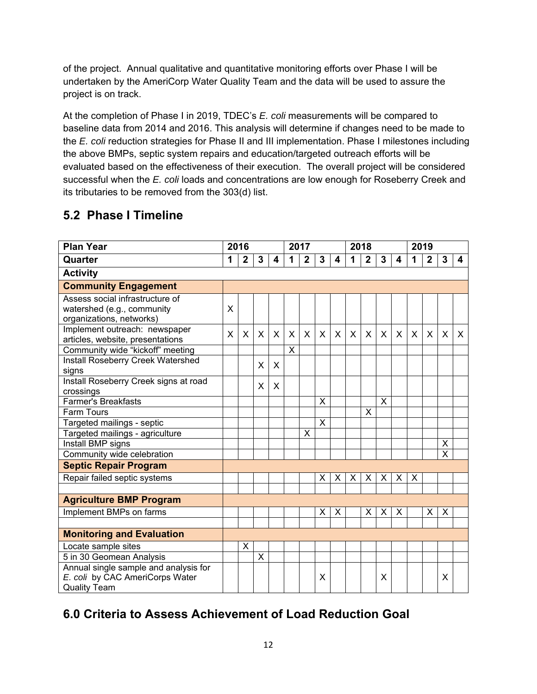of the project. Annual qualitative and quantitative monitoring efforts over Phase I will be undertaken by the AmeriCorp Water Quality Team and the data will be used to assure the project is on track.

At the completion of Phase I in 2019, TDEC's *E. coli* measurements will be compared to baseline data from 2014 and 2016. This analysis will determine if changes need to be made to the *E. coli* reduction strategies for Phase II and III implementation. Phase I milestones including the above BMPs, septic system repairs and education/targeted outreach efforts will be evaluated based on the effectiveness of their execution. The overall project will be considered successful when the *E. coli* loads and concentrations are low enough for Roseberry Creek and its tributaries to be removed from the 303(d) list.

# **5.2 Phase I Timeline**

| <b>Plan Year</b>                                                                                |   | 2016           |                         |         |              | 2017         |              |   | 2018         |                |   | 2019    |   |                |                         |         |
|-------------------------------------------------------------------------------------------------|---|----------------|-------------------------|---------|--------------|--------------|--------------|---|--------------|----------------|---|---------|---|----------------|-------------------------|---------|
| Quarter                                                                                         | 1 | $\overline{2}$ | 3                       | 4       | 1            | $\mathbf{2}$ | 3            | 4 | 1            | $\overline{2}$ | 3 | 4       | 1 | $\overline{2}$ | 3                       | 4       |
| <b>Activity</b>                                                                                 |   |                |                         |         |              |              |              |   |              |                |   |         |   |                |                         |         |
| <b>Community Engagement</b>                                                                     |   |                |                         |         |              |              |              |   |              |                |   |         |   |                |                         |         |
| Assess social infrastructure of<br>watershed (e.g., community<br>organizations, networks)       | X |                |                         |         |              |              |              |   |              |                |   |         |   |                |                         |         |
| Implement outreach: newspaper<br>articles, website, presentations                               | X | X              | X                       | $\sf X$ | $\mathsf{X}$ | $\mathsf{X}$ | $\mathsf{x}$ | X | $\mathsf{X}$ | X              | X | $\sf X$ | X | X              | X                       | $\sf X$ |
| Community wide "kickoff" meeting<br>Install Roseberry Creek Watershed                           |   |                |                         |         | X            |              |              |   |              |                |   |         |   |                |                         |         |
| signs                                                                                           |   |                | X                       | X       |              |              |              |   |              |                |   |         |   |                |                         |         |
| Install Roseberry Creek signs at road<br>crossings                                              |   |                | X                       | X       |              |              |              |   |              |                |   |         |   |                |                         |         |
| <b>Farmer's Breakfasts</b>                                                                      |   |                |                         |         |              |              | X            |   |              |                | X |         |   |                |                         |         |
| <b>Farm Tours</b>                                                                               |   |                |                         |         |              |              |              |   |              | X              |   |         |   |                |                         |         |
| Targeted mailings - septic                                                                      |   |                |                         |         |              |              | $\times$     |   |              |                |   |         |   |                |                         |         |
| Targeted mailings - agriculture                                                                 |   |                |                         |         |              | X            |              |   |              |                |   |         |   |                |                         |         |
| Install BMP signs                                                                               |   |                |                         |         |              |              |              |   |              |                |   |         |   |                | Χ                       |         |
| Community wide celebration                                                                      |   |                |                         |         |              |              |              |   |              |                |   |         |   |                | $\overline{\mathsf{x}}$ |         |
| <b>Septic Repair Program</b>                                                                    |   |                |                         |         |              |              |              |   |              |                |   |         |   |                |                         |         |
| Repair failed septic systems                                                                    |   |                |                         |         |              |              | X            | X | X            | X              | X | X       | X |                |                         |         |
|                                                                                                 |   |                |                         |         |              |              |              |   |              |                |   |         |   |                |                         |         |
| <b>Agriculture BMP Program</b>                                                                  |   |                |                         |         |              |              |              |   |              |                |   |         |   |                |                         |         |
| Implement BMPs on farms                                                                         |   |                |                         |         |              |              | X            | X |              | X              | X | X       |   | Х              | X                       |         |
|                                                                                                 |   |                |                         |         |              |              |              |   |              |                |   |         |   |                |                         |         |
| <b>Monitoring and Evaluation</b>                                                                |   |                |                         |         |              |              |              |   |              |                |   |         |   |                |                         |         |
| Locate sample sites                                                                             |   | X              |                         |         |              |              |              |   |              |                |   |         |   |                |                         |         |
| 5 in 30 Geomean Analysis                                                                        |   |                | $\overline{\mathsf{x}}$ |         |              |              |              |   |              |                |   |         |   |                |                         |         |
| Annual single sample and analysis for<br>E. coli by CAC AmeriCorps Water<br><b>Quality Team</b> |   |                |                         |         |              |              | X            |   |              |                | X |         |   |                | X                       |         |

# **6.0 Criteria to Assess Achievement of Load Reduction Goal**